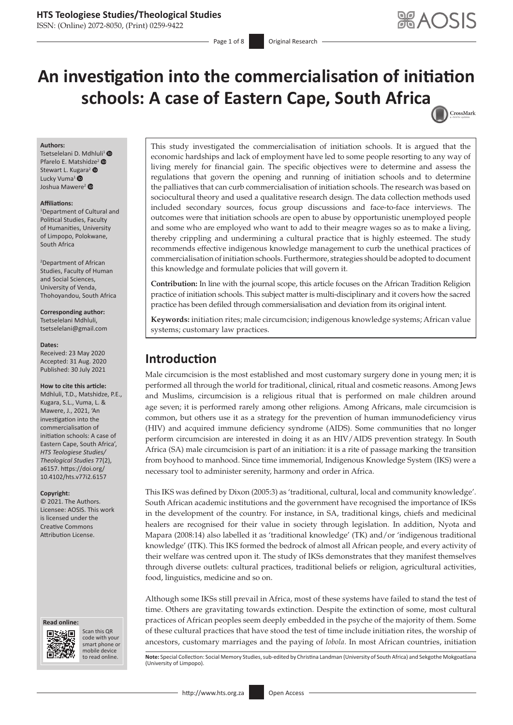### **HTS Teologiese Studies/Theological Studies**

ISSN: (Online) 2072-8050, (Print) 0259-9422

# **An investigation into the commercialisation of initiation schools: A case of Eastern Cape, South Afric[a](http://crossmark.crossref.org/dialog/?doi=10.4102/hts.v77i2.6157=pdf&date_stamp=2021-07-30)** CrossMark

#### **Authors:**

Tsetselelani D. Mdhluli<sup>[1](http://orcid.org/0000-0002-2333-3858)</sup> ® Pfarelo E. Matshi[dze](http://orcid.org/0000-0002-3090-1841)<sup>[2](http://orcid.org/0000-0003-0011-2910)</sup> <sup>O</sup> Stewart L. K[ugar](http://orcid.org/0000-0001-5284-297X)a<sup>2</sup> Lucky Vuma<sup>1</sup> Joshua Mawere<sup>2</sup>

#### **Affiliations:**

1 Department of Cultural and Political Studies, Faculty of Humanities, University of Limpopo, Polokwane, South Africa

2 Department of African Studies, Faculty of Human and Social Sciences, University of Venda, Thohoyandou, South Africa

## **Corresponding author:**

Tsetselelani Mdhluli, [tsetselelani@gmail.com](mailto:tsetselelani@gmail.com)

#### **Dates:**

Received: 23 May 2020 Accepted: 31 Aug. 2020 Published: 30 July 2021

#### **How to cite this article:**

Mdhluli, T.D., Matshidze, P.E., Kugara, S.L., Vuma, L. & Mawere, J., 2021, 'An investigation into the commercialisation of initiation schools: A case of Eastern Cape, South Africa', *HTS Teologiese Studies/ Theological Studies* 77(2), a6157. [https://doi.org/](https://doi.org/10.4102/hts.v77i2.6157) [10.4102/hts.v77i2.6157](https://doi.org/10.4102/hts.v77i2.6157)

#### **Copyright:**

© 2021. The Authors. Licensee: AOSIS. This work is licensed under the Creative Commons Attribution License.

#### **Read online: Read online:**



Scan this QR code with your Scan this QR<br>code with your<br>smart phone or<br>mobile device mobile device to read online.

This study investigated the commercialisation of initiation schools. It is argued that the economic hardships and lack of employment have led to some people resorting to any way of living merely for financial gain. The specific objectives were to determine and assess the regulations that govern the opening and running of initiation schools and to determine the palliatives that can curb commercialisation of initiation schools. The research was based on sociocultural theory and used a qualitative research design. The data collection methods used included secondary sources, focus group discussions and face-to-face interviews. The outcomes were that initiation schools are open to abuse by opportunistic unemployed people and some who are employed who want to add to their meagre wages so as to make a living, thereby crippling and undermining a cultural practice that is highly esteemed. The study recommends effective indigenous knowledge management to curb the unethical practices of commercialisation of initiation schools. Furthermore, strategies should be adopted to document this knowledge and formulate policies that will govern it.

**Contribution:** In line with the journal scope, this article focuses on the African Tradition Religion practice of initiation schools. This subject matter is multi-disciplinary and it covers how the sacred practice has been defiled through commersialisation and deviation from its original intent.

**Keywords:** initiation rites; male circumcision; indigenous knowledge systems; African value systems; customary law practices.

# **Introduction**

Male circumcision is the most established and most customary surgery done in young men; it is performed all through the world for traditional, clinical, ritual and cosmetic reasons. Among Jews and Muslims, circumcision is a religious ritual that is performed on male children around age seven; it is performed rarely among other religions. Among Africans, male circumcision is common, but others use it as a strategy for the prevention of human immunodeficiency virus (HIV) and acquired immune deficiency syndrome (AIDS). Some communities that no longer perform circumcision are interested in doing it as an HIV/AIDS prevention strategy. In South Africa (SA) male circumcision is part of an initiation: it is a rite of passage marking the transition from boyhood to manhood. Since time immemorial, Indigenous Knowledge System (IKS) were a necessary tool to administer serenity, harmony and order in Africa.

This IKS was defined by Dixon (2005:3) as 'traditional, cultural, local and community knowledge'. South African academic institutions and the government have recognised the importance of IKSs in the development of the country. For instance, in SA, traditional kings, chiefs and medicinal healers are recognised for their value in society through legislation. In addition, Nyota and Mapara (2008:14) also labelled it as 'traditional knowledge' (TK) and/or 'indigenous traditional knowledge' (ITK). This IKS formed the bedrock of almost all African people, and every activity of their welfare was centred upon it. The study of IKSs demonstrates that they manifest themselves through diverse outlets: cultural practices, traditional beliefs or religion, agricultural activities, food, linguistics, medicine and so on.

Although some IKSs still prevail in Africa, most of these systems have failed to stand the test of time. Others are gravitating towards extinction. Despite the extinction of some, most cultural practices of African peoples seem deeply embedded in the psyche of the majority of them. Some of these cultural practices that have stood the test of time include initiation rites, the worship of ancestors, customary marriages and the paying of *lobola*. In most African countries, initiation

Note: Special Collection: Social Memory Studies, sub-edited by Christina Landman (University of South Africa) and Sekgothe Mokgoatšana (University of Limpopo).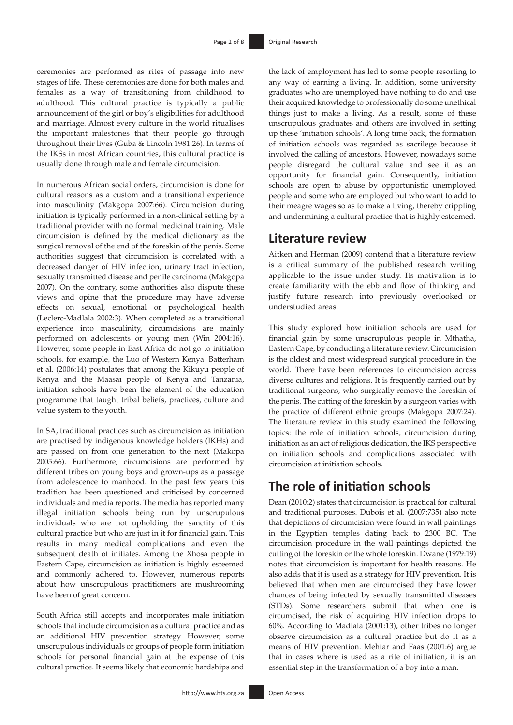ceremonies are performed as rites of passage into new stages of life. These ceremonies are done for both males and females as a way of transitioning from childhood to adulthood. This cultural practice is typically a public announcement of the girl or boy's eligibilities for adulthood and marriage. Almost every culture in the world ritualises the important milestones that their people go through throughout their lives (Guba & Lincoln 1981:26). In terms of the IKSs in most African countries, this cultural practice is usually done through male and female circumcision.

In numerous African social orders, circumcision is done for cultural reasons as a custom and a transitional experience into masculinity (Makgopa 2007:66). Circumcision during initiation is typically performed in a non-clinical setting by a traditional provider with no formal medicinal training. Male circumcision is defined by the medical dictionary as the surgical removal of the end of the foreskin of the penis. Some authorities suggest that circumcision is correlated with a decreased danger of HIV infection, urinary tract infection, sexually transmitted disease and penile carcinoma (Makgopa 2007). On the contrary, some authorities also dispute these views and opine that the procedure may have adverse effects on sexual, emotional or psychological health (Leclerc-Madlala 2002:3). When completed as a transitional experience into masculinity, circumcisions are mainly performed on adolescents or young men (Win 2004:16). However, some people in East Africa do not go to initiation schools, for example, the Luo of Western Kenya. Batterham et al. (2006:14) postulates that among the Kikuyu people of Kenya and the Maasai people of Kenya and Tanzania, initiation schools have been the element of the education programme that taught tribal beliefs, practices, culture and value system to the youth.

In SA, traditional practices such as circumcision as initiation are practised by indigenous knowledge holders (IKHs) and are passed on from one generation to the next (Makopa 2005:66). Furthermore, circumcisions are performed by different tribes on young boys and grown-ups as a passage from adolescence to manhood. In the past few years this tradition has been questioned and criticised by concerned individuals and media reports. The media has reported many illegal initiation schools being run by unscrupulous individuals who are not upholding the sanctity of this cultural practice but who are just in it for financial gain. This results in many medical complications and even the subsequent death of initiates. Among the Xhosa people in Eastern Cape, circumcision as initiation is highly esteemed and commonly adhered to. However, numerous reports about how unscrupulous practitioners are mushrooming have been of great concern.

South Africa still accepts and incorporates male initiation schools that include circumcision as a cultural practice and as an additional HIV prevention strategy. However, some unscrupulous individuals or groups of people form initiation schools for personal financial gain at the expense of this cultural practice. It seems likely that economic hardships and

the lack of employment has led to some people resorting to any way of earning a living. In addition, some university graduates who are unemployed have nothing to do and use their acquired knowledge to professionally do some unethical things just to make a living. As a result, some of these unscrupulous graduates and others are involved in setting up these 'initiation schools'. A long time back, the formation of initiation schools was regarded as sacrilege because it involved the calling of ancestors. However, nowadays some people disregard the cultural value and see it as an opportunity for financial gain. Consequently, initiation schools are open to abuse by opportunistic unemployed people and some who are employed but who want to add to their meagre wages so as to make a living, thereby crippling and undermining a cultural practice that is highly esteemed.

### **Literature review**

Aitken and Herman (2009) contend that a literature review is a critical summary of the published research writing applicable to the issue under study. Its motivation is to create familiarity with the ebb and flow of thinking and justify future research into previously overlooked or understudied areas.

This study explored how initiation schools are used for financial gain by some unscrupulous people in Mthatha, Eastern Cape, by conducting a literature review. Circumcision is the oldest and most widespread surgical procedure in the world. There have been references to circumcision across diverse cultures and religions. It is frequently carried out by traditional surgeons, who surgically remove the foreskin of the penis. The cutting of the foreskin by a surgeon varies with the practice of different ethnic groups (Makgopa 2007:24). The literature review in this study examined the following topics: the role of initiation schools, circumcision during initiation as an act of religious dedication, the IKS perspective on initiation schools and complications associated with circumcision at initiation schools.

## **The role of initiation schools**

Dean (2010:2) states that circumcision is practical for cultural and traditional purposes. Dubois et al. (2007:735) also note that depictions of circumcision were found in wall paintings in the Egyptian temples dating back to 2300 BC. The circumcision procedure in the wall paintings depicted the cutting of the foreskin or the whole foreskin. Dwane (1979:19) notes that circumcision is important for health reasons. He also adds that it is used as a strategy for HIV prevention. It is believed that when men are circumcised they have lower chances of being infected by sexually transmitted diseases (STDs). Some researchers submit that when one is circumcised, the risk of acquiring HIV infection drops to 60%. According to Madlala (2001:13), other tribes no longer observe circumcision as a cultural practice but do it as a means of HIV prevention. Mehtar and Faas (2001:6) argue that in cases where is used as a rite of initiation, it is an essential step in the transformation of a boy into a man.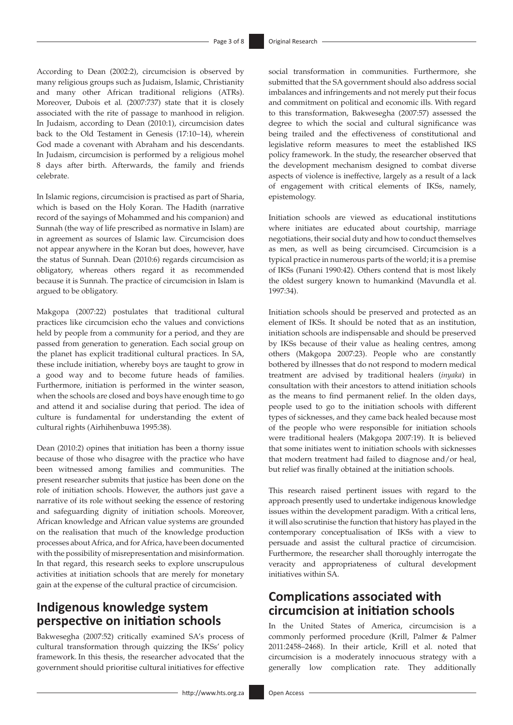According to Dean (2002:2), circumcision is observed by many religious groups such as Judaism, Islamic, Christianity and many other African traditional religions (ATRs). Moreover, Dubois et al*.* (2007:737) state that it is closely associated with the rite of passage to manhood in religion. In Judaism, according to Dean (2010:1), circumcision dates back to the Old Testament in Genesis (17:10–14), wherein God made a covenant with Abraham and his descendants. In Judaism, circumcision is performed by a religious mohel 8 days after birth. Afterwards, the family and friends celebrate.

In Islamic regions, circumcision is practised as part of Sharia, which is based on the Holy Koran. The Hadith (narrative record of the sayings of Mohammed and his companion) and Sunnah (the way of life prescribed as normative in Islam) are in agreement as sources of Islamic law. Circumcision does not appear anywhere in the Koran but does, however, have the status of Sunnah. Dean (2010:6) regards circumcision as obligatory, whereas others regard it as recommended because it is Sunnah. The practice of circumcision in Islam is argued to be obligatory.

Makgopa (2007:22) postulates that traditional cultural practices like circumcision echo the values and convictions held by people from a community for a period, and they are passed from generation to generation. Each social group on the planet has explicit traditional cultural practices. In SA, these include initiation, whereby boys are taught to grow in a good way and to become future heads of families. Furthermore, initiation is performed in the winter season, when the schools are closed and boys have enough time to go and attend it and socialise during that period. The idea of culture is fundamental for understanding the extent of cultural rights (Airhihenbuwa 1995:38).

Dean (2010:2) opines that initiation has been a thorny issue because of those who disagree with the practice who have been witnessed among families and communities. The present researcher submits that justice has been done on the role of initiation schools. However, the authors just gave a narrative of its role without seeking the essence of restoring and safeguarding dignity of initiation schools. Moreover, African knowledge and African value systems are grounded on the realisation that much of the knowledge production processes about Africa, and for Africa, have been documented with the possibility of misrepresentation and misinformation. In that regard, this research seeks to explore unscrupulous activities at initiation schools that are merely for monetary gain at the expense of the cultural practice of circumcision.

# **Indigenous knowledge system perspective on initiation schools**

Bakwesegha (2007:52) critically examined SA's process of cultural transformation through quizzing the IKSs' policy framework. In this thesis, the researcher advocated that the government should prioritise cultural initiatives for effective

social transformation in communities. Furthermore, she submitted that the SA government should also address social imbalances and infringements and not merely put their focus and commitment on political and economic ills. With regard to this transformation, Bakwesegha (2007:57) assessed the degree to which the social and cultural significance was being trailed and the effectiveness of constitutional and legislative reform measures to meet the established IKS policy framework. In the study, the researcher observed that the development mechanism designed to combat diverse aspects of violence is ineffective, largely as a result of a lack of engagement with critical elements of IKSs, namely, epistemology.

Initiation schools are viewed as educational institutions where initiates are educated about courtship, marriage negotiations, their social duty and how to conduct themselves as men, as well as being circumcised. Circumcision is a typical practice in numerous parts of the world; it is a premise of IKSs (Funani 1990:42). Others contend that is most likely the oldest surgery known to humankind (Mavundla et al. 1997:34).

Initiation schools should be preserved and protected as an element of IKSs. It should be noted that as an institution, initiation schools are indispensable and should be preserved by IKSs because of their value as healing centres, among others (Makgopa 2007:23). People who are constantly bothered by illnesses that do not respond to modern medical treatment are advised by traditional healers (*inyaka*) in consultation with their ancestors to attend initiation schools as the means to find permanent relief. In the olden days, people used to go to the initiation schools with different types of sicknesses, and they came back healed because most of the people who were responsible for initiation schools were traditional healers (Makgopa 2007:19). It is believed that some initiates went to initiation schools with sicknesses that modern treatment had failed to diagnose and/or heal, but relief was finally obtained at the initiation schools.

This research raised pertinent issues with regard to the approach presently used to undertake indigenous knowledge issues within the development paradigm. With a critical lens, it will also scrutinise the function that history has played in the contemporary conceptualisation of IKSs with a view to persuade and assist the cultural practice of circumcision. Furthermore, the researcher shall thoroughly interrogate the veracity and appropriateness of cultural development initiatives within SA.

## **Complications associated with circumcision at initiation schools**

In the United States of America, circumcision is a commonly performed procedure (Krill, Palmer & Palmer 2011:2458–2468). In their article, Krill et al. noted that circumcision is a moderately innocuous strategy with a generally low complication rate. They additionally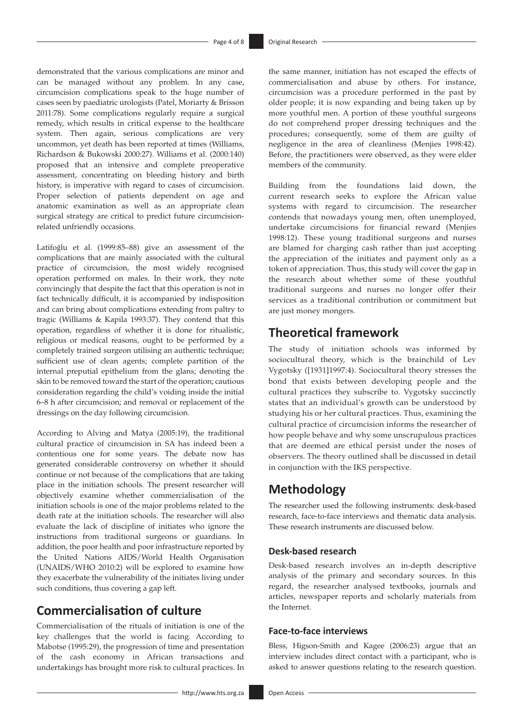demonstrated that the various complications are minor and can be managed without any problem. In any case, circumcision complications speak to the huge number of cases seen by paediatric urologists (Patel, Moriarty & Brisson 2011:78). Some complications regularly require a surgical remedy, which results in critical expense to the healthcare system. Then again, serious complications are very uncommon, yet death has been reported at times (Williams, Richardson & Bukowski 2000:27). Williams et al. (2000:140) proposed that an intensive and complete preoperative assessment, concentrating on bleeding history and birth history, is imperative with regard to cases of circumcision. Proper selection of patients dependent on age and anatomic examination as well as an appropriate clean surgical strategy are critical to predict future circumcisionrelated unfriendly occasions.

Latifoğlu et al*.* (1999:85–88) give an assessment of the complications that are mainly associated with the cultural practice of circumcision, the most widely recognised operation performed on males. In their work, they note convincingly that despite the fact that this operation is not in fact technically difficult, it is accompanied by indisposition and can bring about complications extending from paltry to tragic (Williams & Kapila 1993:37). They contend that this operation, regardless of whether it is done for ritualistic, religious or medical reasons, ought to be performed by a completely trained surgeon utilising an authentic technique; sufficient use of clean agents; complete partition of the internal preputial epithelium from the glans; denoting the skin to be removed toward the start of the operation; cautious consideration regarding the child's voiding inside the initial 6–8 h after circumcision; and removal or replacement of the dressings on the day following circumcision.

According to Alving and Matya (2005:19), the traditional cultural practice of circumcision in SA has indeed been a contentious one for some years. The debate now has generated considerable controversy on whether it should continue or not because of the complications that are taking place in the initiation schools. The present researcher will objectively examine whether commercialisation of the initiation schools is one of the major problems related to the death rate at the initiation schools. The researcher will also evaluate the lack of discipline of initiates who ignore the instructions from traditional surgeons or guardians. In addition, the poor health and poor infrastructure reported by the United Nations AIDS/World Health Organisation (UNAIDS/WHO 2010:2) will be explored to examine how they exacerbate the vulnerability of the initiates living under such conditions, thus covering a gap left.

# **Commercialisation of culture**

Commercialisation of the rituals of initiation is one of the key challenges that the world is facing. According to Mabotse (1995:29), the progression of time and presentation of the cash economy in African transactions and undertakings has brought more risk to cultural practices. In the same manner, initiation has not escaped the effects of commercialisation and abuse by others. For instance, circumcision was a procedure performed in the past by older people; it is now expanding and being taken up by more youthful men. A portion of these youthful surgeons do not comprehend proper dressing techniques and the procedures; consequently, some of them are guilty of negligence in the area of cleanliness (Menjies 1998:42). Before, the practitioners were observed, as they were elder members of the community.

Building from the foundations laid down, the current research seeks to explore the African value systems with regard to circumcision. The researcher contends that nowadays young men, often unemployed, undertake circumcisions for financial reward (Menjies 1998:12). These young traditional surgeons and nurses are blamed for charging cash rather than just accepting the appreciation of the initiates and payment only as a token of appreciation. Thus, this study will cover the gap in the research about whether some of these youthful traditional surgeons and nurses no longer offer their services as a traditional contribution or commitment but are just money mongers.

# **Theoretical framework**

The study of initiation schools was informed by sociocultural theory, which is the brainchild of Lev Vygotsky ([1931]1997:4). Sociocultural theory stresses the bond that exists between developing people and the cultural practices they subscribe to. Vygotsky succinctly states that an individual's growth can be understood by studying his or her cultural practices. Thus, examining the cultural practice of circumcision informs the researcher of how people behave and why some unscrupulous practices that are deemed are ethical persist under the noses of observers. The theory outlined shall be discussed in detail in conjunction with the IKS perspective.

# **Methodology**

The researcher used the following instruments: desk-based research, face-to-face interviews and thematic data analysis. These research instruments are discussed below.

### **Desk-based research**

Desk-based research involves an in-depth descriptive analysis of the primary and secondary sources. In this regard, the researcher analysed textbooks, journals and articles, newspaper reports and scholarly materials from the Internet.

### **Face-to-face interviews**

Bless, Higson-Smith and Kagee (2006:23) argue that an interview includes direct contact with a participant, who is asked to answer questions relating to the research question.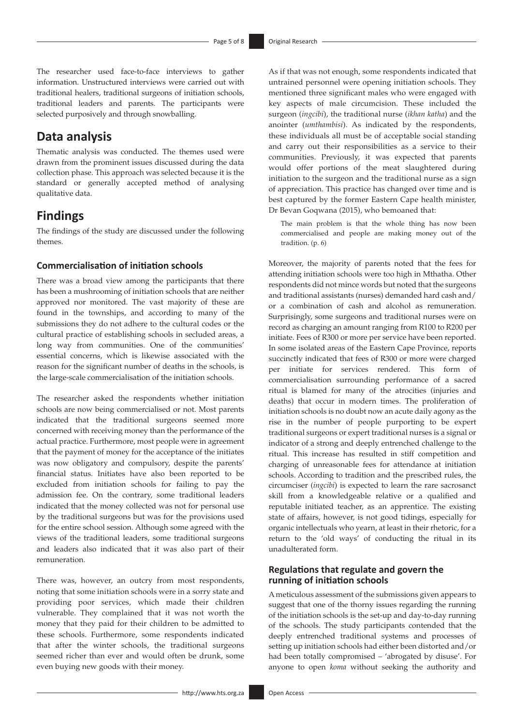The researcher used face-to-face interviews to gather information. Unstructured interviews were carried out with traditional healers, traditional surgeons of initiation schools, traditional leaders and parents. The participants were selected purposively and through snowballing.

## **Data analysis**

Thematic analysis was conducted. The themes used were drawn from the prominent issues discussed during the data collection phase. This approach was selected because it is the standard or generally accepted method of analysing qualitative data.

## **Findings**

The findings of the study are discussed under the following themes.

### **Commercialisation of initiation schools**

There was a broad view among the participants that there has been a mushrooming of initiation schools that are neither approved nor monitored. The vast majority of these are found in the townships, and according to many of the submissions they do not adhere to the cultural codes or the cultural practice of establishing schools in secluded areas, a long way from communities. One of the communities' essential concerns, which is likewise associated with the reason for the significant number of deaths in the schools, is the large-scale commercialisation of the initiation schools.

The researcher asked the respondents whether initiation schools are now being commercialised or not. Most parents indicated that the traditional surgeons seemed more concerned with receiving money than the performance of the actual practice. Furthermore, most people were in agreement that the payment of money for the acceptance of the initiates was now obligatory and compulsory, despite the parents' financial status. Initiates have also been reported to be excluded from initiation schools for failing to pay the admission fee. On the contrary, some traditional leaders indicated that the money collected was not for personal use by the traditional surgeons but was for the provisions used for the entire school session. Although some agreed with the views of the traditional leaders, some traditional surgeons and leaders also indicated that it was also part of their remuneration.

There was, however, an outcry from most respondents, noting that some initiation schools were in a sorry state and providing poor services, which made their children vulnerable. They complained that it was not worth the money that they paid for their children to be admitted to these schools. Furthermore, some respondents indicated that after the winter schools, the traditional surgeons seemed richer than ever and would often be drunk, some even buying new goods with their money.

As if that was not enough, some respondents indicated that untrained personnel were opening initiation schools. They mentioned three significant males who were engaged with key aspects of male circumcision. These included the surgeon (*ingcibi*), the traditional nurse (*ikhan katha*) and the anointer (*umthambisi*). As indicated by the respondents, these individuals all must be of acceptable social standing and carry out their responsibilities as a service to their communities. Previously, it was expected that parents would offer portions of the meat slaughtered during initiation to the surgeon and the traditional nurse as a sign of appreciation. This practice has changed over time and is best captured by the former Eastern Cape health minister, Dr Bevan Goqwana (2015), who bemoaned that:

The main problem is that the whole thing has now been commercialised and people are making money out of the tradition. (p. 6)

Moreover, the majority of parents noted that the fees for attending initiation schools were too high in Mthatha. Other respondents did not mince words but noted that the surgeons and traditional assistants (nurses) demanded hard cash and/ or a combination of cash and alcohol as remuneration. Surprisingly, some surgeons and traditional nurses were on record as charging an amount ranging from R100 to R200 per initiate. Fees of R300 or more per service have been reported. In some isolated areas of the Eastern Cape Province, reports succinctly indicated that fees of R300 or more were charged per initiate for services rendered. This form of commercialisation surrounding performance of a sacred ritual is blamed for many of the atrocities (injuries and deaths) that occur in modern times. The proliferation of initiation schools is no doubt now an acute daily agony as the rise in the number of people purporting to be expert traditional surgeons or expert traditional nurses is a signal or indicator of a strong and deeply entrenched challenge to the ritual. This increase has resulted in stiff competition and charging of unreasonable fees for attendance at initiation schools. According to tradition and the prescribed rules, the circumciser (*ingcibi*) is expected to learn the rare sacrosanct skill from a knowledgeable relative or a qualified and reputable initiated teacher, as an apprentice. The existing state of affairs, however, is not good tidings, especially for organic intellectuals who yearn, at least in their rhetoric, for a return to the 'old ways' of conducting the ritual in its unadulterated form.

### **Regulations that regulate and govern the running of initiation schools**

A meticulous assessment of the submissions given appears to suggest that one of the thorny issues regarding the running of the initiation schools is the set-up and day-to-day running of the schools. The study participants contended that the deeply entrenched traditional systems and processes of setting up initiation schools had either been distorted and/or had been totally compromised – 'abrogated by disuse'. For anyone to open *koma* without seeking the authority and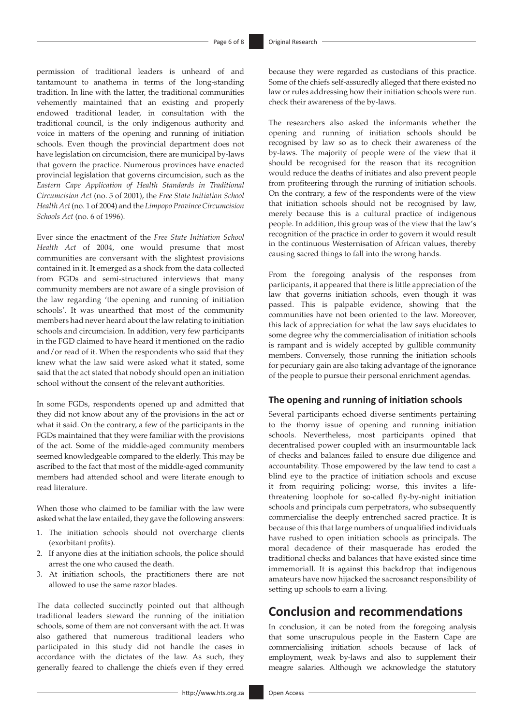permission of traditional leaders is unheard of and tantamount to anathema in terms of the long-standing tradition. In line with the latter, the traditional communities vehemently maintained that an existing and properly endowed traditional leader, in consultation with the traditional council, is the only indigenous authority and voice in matters of the opening and running of initiation schools. Even though the provincial department does not have legislation on circumcision, there are municipal by-laws that govern the practice. Numerous provinces have enacted provincial legislation that governs circumcision, such as the *Eastern Cape Application of Health Standards in Traditional Circumcision Act* (no. 5 of 2001), the *Free State Initiation School Health Act* (no. 1 of 2004) and the *Limpopo Province Circumcision Schools Act* (no. 6 of 1996).

Ever since the enactment of the *Free State Initiation School Health Act* of 2004, one would presume that most communities are conversant with the slightest provisions contained in it. It emerged as a shock from the data collected from FGDs and semi-structured interviews that many community members are not aware of a single provision of the law regarding 'the opening and running of initiation schools'. It was unearthed that most of the community members had never heard about the law relating to initiation schools and circumcision. In addition, very few participants in the FGD claimed to have heard it mentioned on the radio and/or read of it. When the respondents who said that they knew what the law said were asked what it stated, some said that the act stated that nobody should open an initiation school without the consent of the relevant authorities.

In some FGDs, respondents opened up and admitted that they did not know about any of the provisions in the act or what it said. On the contrary, a few of the participants in the FGDs maintained that they were familiar with the provisions of the act. Some of the middle-aged community members seemed knowledgeable compared to the elderly. This may be ascribed to the fact that most of the middle-aged community members had attended school and were literate enough to read literature.

When those who claimed to be familiar with the law were asked what the law entailed, they gave the following answers:

- 1. The initiation schools should not overcharge clients (exorbitant profits).
- 2. If anyone dies at the initiation schools, the police should arrest the one who caused the death.
- 3. At initiation schools, the practitioners there are not allowed to use the same razor blades.

The data collected succinctly pointed out that although traditional leaders steward the running of the initiation schools, some of them are not conversant with the act. It was also gathered that numerous traditional leaders who participated in this study did not handle the cases in accordance with the dictates of the law. As such, they generally feared to challenge the chiefs even if they erred

because they were regarded as custodians of this practice. Some of the chiefs self-assuredly alleged that there existed no law or rules addressing how their initiation schools were run. check their awareness of the by-laws.

The researchers also asked the informants whether the opening and running of initiation schools should be recognised by law so as to check their awareness of the by-laws. The majority of people were of the view that it should be recognised for the reason that its recognition would reduce the deaths of initiates and also prevent people from profiteering through the running of initiation schools. On the contrary, a few of the respondents were of the view that initiation schools should not be recognised by law, merely because this is a cultural practice of indigenous people. In addition, this group was of the view that the law's recognition of the practice in order to govern it would result in the continuous Westernisation of African values, thereby causing sacred things to fall into the wrong hands.

From the foregoing analysis of the responses from participants, it appeared that there is little appreciation of the law that governs initiation schools, even though it was passed. This is palpable evidence, showing that the communities have not been oriented to the law. Moreover, this lack of appreciation for what the law says elucidates to some degree why the commercialisation of initiation schools is rampant and is widely accepted by gullible community members. Conversely, those running the initiation schools for pecuniary gain are also taking advantage of the ignorance of the people to pursue their personal enrichment agendas.

### **The opening and running of initiation schools**

Several participants echoed diverse sentiments pertaining to the thorny issue of opening and running initiation schools. Nevertheless, most participants opined that decentralised power coupled with an insurmountable lack of checks and balances failed to ensure due diligence and accountability. Those empowered by the law tend to cast a blind eye to the practice of initiation schools and excuse it from requiring policing; worse, this invites a lifethreatening loophole for so-called fly-by-night initiation schools and principals cum perpetrators, who subsequently commercialise the deeply entrenched sacred practice. It is because of this that large numbers of unqualified individuals have rushed to open initiation schools as principals. The moral decadence of their masquerade has eroded the traditional checks and balances that have existed since time immemoriall. It is against this backdrop that indigenous amateurs have now hijacked the sacrosanct responsibility of setting up schools to earn a living.

## **Conclusion and recommendations**

In conclusion, it can be noted from the foregoing analysis that some unscrupulous people in the Eastern Cape are commercialising initiation schools because of lack of employment, weak by-laws and also to supplement their meagre salaries. Although we acknowledge the statutory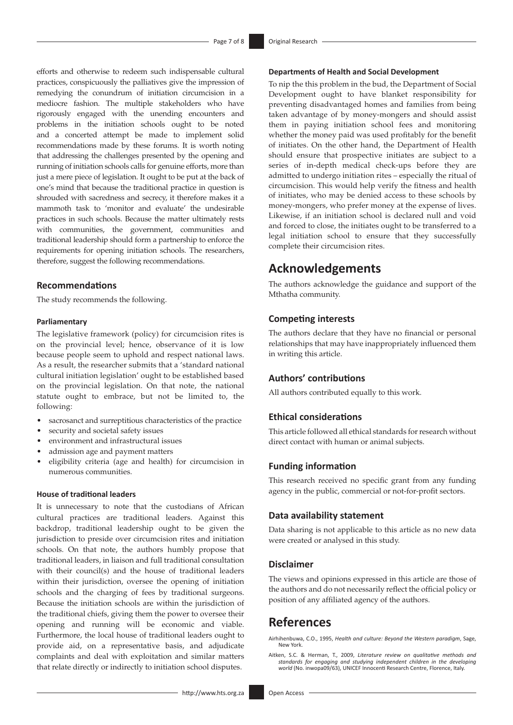efforts and otherwise to redeem such indispensable cultural practices, conspicuously the palliatives give the impression of remedying the conundrum of initiation circumcision in a mediocre fashion. The multiple stakeholders who have rigorously engaged with the unending encounters and problems in the initiation schools ought to be noted and a concerted attempt be made to implement solid recommendations made by these forums. It is worth noting that addressing the challenges presented by the opening and running of initiation schools calls for genuine efforts, more than just a mere piece of legislation. It ought to be put at the back of one's mind that because the traditional practice in question is shrouded with sacredness and secrecy, it therefore makes it a mammoth task to 'monitor and evaluate' the undesirable practices in such schools. Because the matter ultimately rests with communities, the government, communities and traditional leadership should form a partnership to enforce the requirements for opening initiation schools. The researchers, therefore, suggest the following recommendations.

#### **Recommendations**

The study recommends the following.

#### **Parliamentary**

The legislative framework (policy) for circumcision rites is on the provincial level; hence, observance of it is low because people seem to uphold and respect national laws. As a result, the researcher submits that a 'standard national cultural initiation legislation' ought to be established based on the provincial legislation. On that note, the national statute ought to embrace, but not be limited to, the following:

- sacrosanct and surreptitious characteristics of the practice
- security and societal safety issues
- environment and infrastructural issues
- admission age and payment matters
- eligibility criteria (age and health) for circumcision in numerous communities.

### **House of traditional leaders**

It is unnecessary to note that the custodians of African cultural practices are traditional leaders. Against this backdrop, traditional leadership ought to be given the jurisdiction to preside over circumcision rites and initiation schools. On that note, the authors humbly propose that traditional leaders, in liaison and full traditional consultation with their council(s) and the house of traditional leaders within their jurisdiction, oversee the opening of initiation schools and the charging of fees by traditional surgeons. Because the initiation schools are within the jurisdiction of the traditional chiefs, giving them the power to oversee their opening and running will be economic and viable. Furthermore, the local house of traditional leaders ought to provide aid, on a representative basis, and adjudicate complaints and deal with exploitation and similar matters that relate directly or indirectly to initiation school disputes.

To nip the this problem in the bud, the Department of Social Development ought to have blanket responsibility for preventing disadvantaged homes and families from being taken advantage of by money-mongers and should assist them in paying initiation school fees and monitoring whether the money paid was used profitably for the benefit of initiates. On the other hand, the Department of Health should ensure that prospective initiates are subject to a series of in-depth medical check-ups before they are admitted to undergo initiation rites – especially the ritual of circumcision. This would help verify the fitness and health of initiates, who may be denied access to these schools by money-mongers, who prefer money at the expense of lives. Likewise, if an initiation school is declared null and void and forced to close, the initiates ought to be transferred to a legal initiation school to ensure that they successfully complete their circumcision rites.

## **Acknowledgements**

The authors acknowledge the guidance and support of the Mthatha community.

### **Competing interests**

The authors declare that they have no financial or personal relationships that may have inappropriately influenced them in writing this article.

### **Authors' contributions**

All authors contributed equally to this work.

### **Ethical considerations**

This article followed all ethical standards for research without direct contact with human or animal subjects.

#### **Funding information**

This research received no specific grant from any funding agency in the public, commercial or not-for-profit sectors.

### **Data availability statement**

Data sharing is not applicable to this article as no new data were created or analysed in this study.

### **Disclaimer**

The views and opinions expressed in this article are those of the authors and do not necessarily reflect the official policy or position of any affiliated agency of the authors.

# **References**

Airhihenbuwa, C.O., 1995, *Health and culture: Beyond the Western paradigm*, Sage, New York.

Aitken, S.C. & Herman, T., 2009, *Literature review on qualitative methods and standards for engaging and studying independent children in the developing world* (No. inwopa09/63), UNICEF Innocenti Research Centre, Florence, Italy.